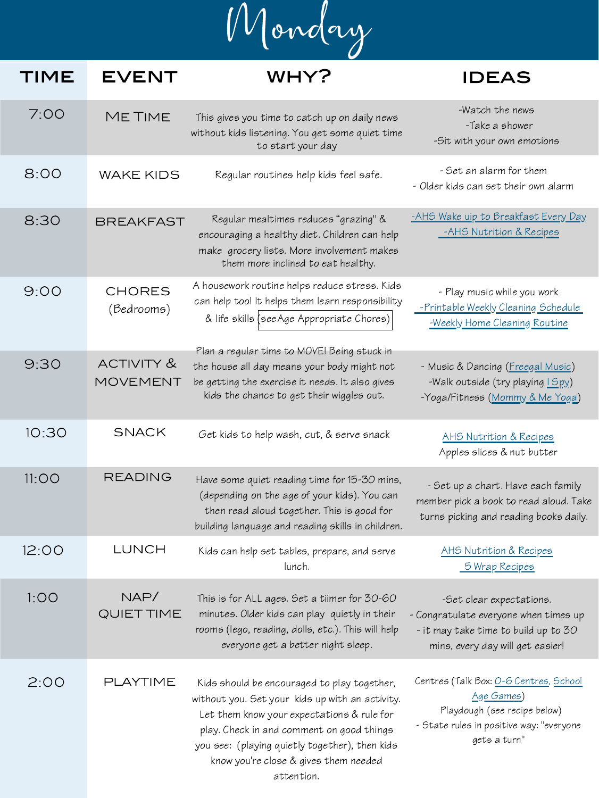Monday

## WHY? IDEAS TIME EVENT

| 7:00 | ME TIME                     | This gives you time to catch up on daily news<br>without kids listening. You get some quiet time<br>to start your day                                                                      | -Watch the news<br>-Take a shower<br>-Sit with your own emotions                                          |
|------|-----------------------------|--------------------------------------------------------------------------------------------------------------------------------------------------------------------------------------------|-----------------------------------------------------------------------------------------------------------|
| 8:00 | <b>WAKE KIDS</b>            | Regular routines help kids feel safe.                                                                                                                                                      | - Set an alarm for them<br>- Older kids can set their own alarm                                           |
| 8:30 | <b>BREAKFAST</b>            | Regular mealtimes reduces "grazing" &<br>encouraging a healthy diet. Children can help<br>make grocery lists. More involvement makes<br>them more inclined to eat healthy.                 | -AHS Wake uip to Breakfast Every Day<br>-AHS Nutrition & Recipes                                          |
| 9:00 | <b>CHORES</b><br>(Bedrooms) | A housework routine helps reduce stress. Kids<br>can help too! It helps them learn responsibility<br>& life skills (see Age Appropriate Chores)                                            | - Play music while you work<br>-Printable Weekly Cleaning Schedule<br>-Weekly Home Cleaning Routine       |
| 9:30 | ACTIVITY &<br>MOVEMENT      | Plan a regular time to MOVE! Being stuck in<br>the house all day means your body might not<br>be getting the exercise it needs. It also gives<br>kids the chance to get their wiggles out. | - Music & Dancing (Freegal Music)<br>-Walk outside (try playing 1 Spy)<br>-Yoga/Fitness (Mommy & Me Yoga) |

| 10:30 | <b>SNACK</b>              | Get kids to help wash, cut, & serve snack                                                                                                                                                                                                                                                          | <u>AHS Nutrition &amp; Recipes</u><br>Apples slices & nut butter                                                                                        |
|-------|---------------------------|----------------------------------------------------------------------------------------------------------------------------------------------------------------------------------------------------------------------------------------------------------------------------------------------------|---------------------------------------------------------------------------------------------------------------------------------------------------------|
| 11:OO | <b>READING</b>            | Have some quiet reading time for 15-30 mins,<br>(depending on the age of your kids). You can<br>then read aloud together. This is good for<br>building language and reading skills in children.                                                                                                    | - Set up a chart. Have each family<br>member pick a book to read aloud. Take<br>turns picking and reading books daily.                                  |
| 12:00 | LUNCH                     | Kids can help set tables, prepare, and serve<br>lunch.                                                                                                                                                                                                                                             | AHS Nutrition & Recipes<br>5 Wrap Recipes                                                                                                               |
| 1:OO  | NAP/<br><b>QUIET TIME</b> | This is for ALL ages. Set a tiimer for 30-60<br>minutes. Older kids can play quietly in their<br>rooms (lego, reading, dolls, etc.). This will help<br>everyone get a better night sleep.                                                                                                          | -Set clear expectations.<br>- Congratulate everyone when times up<br>- it may take time to build up to 30<br>mins, every day will get easier!           |
| 2:00  | PLAYTIME                  | Kids should be encouraged to play together,<br>without you. Set your kids up with an activity.<br>Let them know your expectations & rule for<br>play. Check in and comment on good things<br>you see: (playing quietly together), then kids<br>know you're close & gives them needed<br>attention. | Centres (Talk Box: <u>O-6 Centres, School</u><br>Age Games)<br>Playdough (see recipe below)<br>- State rules in positive way: "everyone<br>gets a turn" |